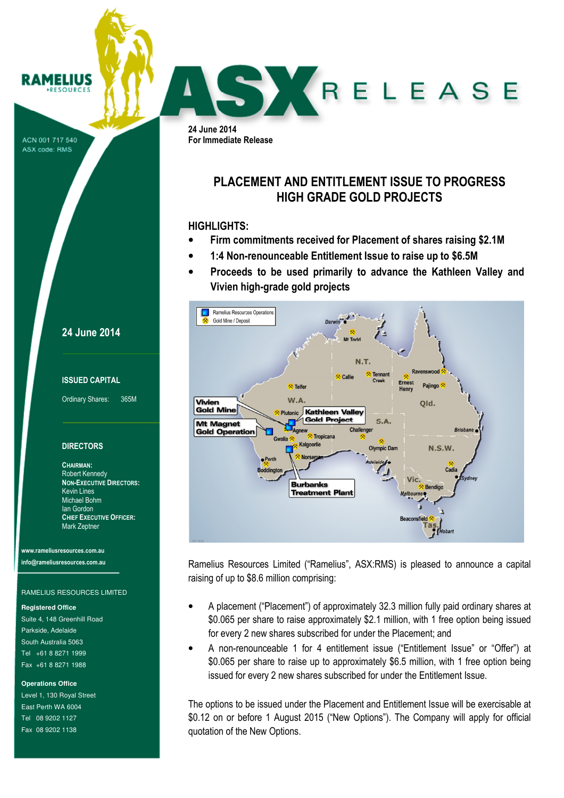ACN 001 717 540 ASX code: RMS

RAMELIUS

### 24 June 2014

#### ISSUED CAPITAL

Ordinary Shares: 365M

#### **DIRECTORS**

CHAIRMAN: Robert Kennedy NON-EXECUTIVE DIRECTORS: Kevin Lines Michael Bohm Ian Gordon CHIEF EXECUTIVE OFFICER: Mark Zeptner

www.rameliusresources.com.au info@rameliusresources.com.au

#### RAMELIUS RESOURCES LIMITED

**Registered Office** 

Suite 4, 148 Greenhill Road Parkside, Adelaide South Australia 5063 Tel +61 8 8271 1999 Fax +61 8 8271 1988

#### **Operations Office**

Level 1, 130 Royal Street East Perth WA 6004 Tel 08 9202 1127 Fax 08 9202 1138

24 June 2014 For Immediate Release

# PLACEMENT AND ENTITLEMENT ISSUE TO PROGRESS HIGH GRADE GOLD PROJECTS

SKRELEASE

### HIGHLIGHTS:

- Firm commitments received for Placement of shares raising \$2.1M
- 1:4 Non-renounceable Entitlement Issue to raise up to \$6.5M
- Proceeds to be used primarily to advance the Kathleen Valley and Vivien high-grade gold projects



Ramelius Resources Limited ("Ramelius", ASX:RMS) is pleased to announce a capital raising of up to \$8.6 million comprising:

- A placement ("Placement") of approximately 32.3 million fully paid ordinary shares at \$0.065 per share to raise approximately \$2.1 million, with 1 free option being issued for every 2 new shares subscribed for under the Placement; and
- A non-renounceable 1 for 4 entitlement issue ("Entitlement Issue" or "Offer") at \$0.065 per share to raise up to approximately \$6.5 million, with 1 free option being issued for every 2 new shares subscribed for under the Entitlement Issue.

The options to be issued under the Placement and Entitlement Issue will be exercisable at \$0.12 on or before 1 August 2015 ("New Options"). The Company will apply for official quotation of the New Options.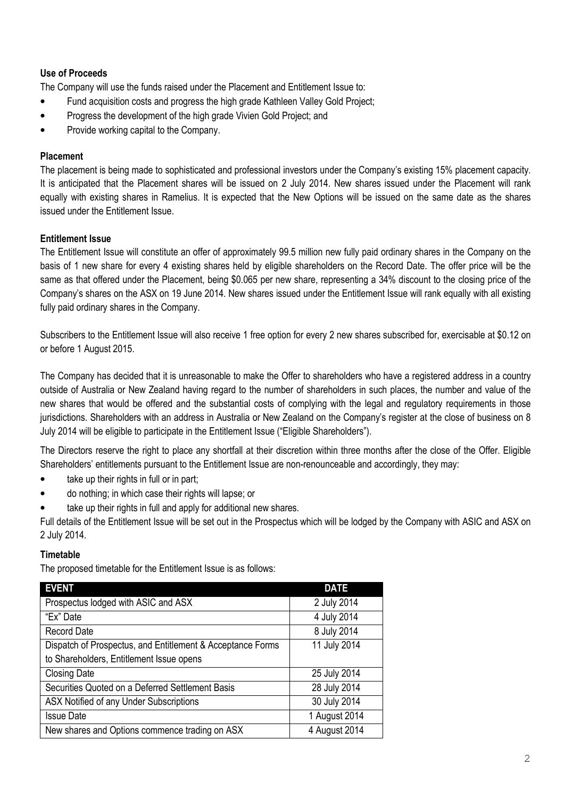# Use of Proceeds

The Company will use the funds raised under the Placement and Entitlement Issue to:

- Fund acquisition costs and progress the high grade Kathleen Valley Gold Project;
- Progress the development of the high grade Vivien Gold Project; and
- Provide working capital to the Company.

# Placement

The placement is being made to sophisticated and professional investors under the Company's existing 15% placement capacity. It is anticipated that the Placement shares will be issued on 2 July 2014. New shares issued under the Placement will rank equally with existing shares in Ramelius. It is expected that the New Options will be issued on the same date as the shares issued under the Entitlement Issue.

# Entitlement Issue

The Entitlement Issue will constitute an offer of approximately 99.5 million new fully paid ordinary shares in the Company on the basis of 1 new share for every 4 existing shares held by eligible shareholders on the Record Date. The offer price will be the same as that offered under the Placement, being \$0.065 per new share, representing a 34% discount to the closing price of the Company's shares on the ASX on 19 June 2014. New shares issued under the Entitlement Issue will rank equally with all existing fully paid ordinary shares in the Company.

Subscribers to the Entitlement Issue will also receive 1 free option for every 2 new shares subscribed for, exercisable at \$0.12 on or before 1 August 2015.

The Company has decided that it is unreasonable to make the Offer to shareholders who have a registered address in a country outside of Australia or New Zealand having regard to the number of shareholders in such places, the number and value of the new shares that would be offered and the substantial costs of complying with the legal and regulatory requirements in those jurisdictions. Shareholders with an address in Australia or New Zealand on the Company's register at the close of business on 8 July 2014 will be eligible to participate in the Entitlement Issue ("Eligible Shareholders").

The Directors reserve the right to place any shortfall at their discretion within three months after the close of the Offer. Eligible Shareholders' entitlements pursuant to the Entitlement Issue are non-renounceable and accordingly, they may:

- take up their rights in full or in part;
- do nothing; in which case their rights will lapse; or
- take up their rights in full and apply for additional new shares.

Full details of the Entitlement Issue will be set out in the Prospectus which will be lodged by the Company with ASIC and ASX on 2 July 2014.

## **Timetable**

The proposed timetable for the Entitlement Issue is as follows:

| <b>EVENT</b>                                               | <b>DATE</b>   |
|------------------------------------------------------------|---------------|
| Prospectus lodged with ASIC and ASX                        | 2 July 2014   |
| "Ex" Date                                                  | 4 July 2014   |
| <b>Record Date</b>                                         | 8 July 2014   |
| Dispatch of Prospectus, and Entitlement & Acceptance Forms | 11 July 2014  |
| to Shareholders, Entitlement Issue opens                   |               |
| <b>Closing Date</b>                                        | 25 July 2014  |
| Securities Quoted on a Deferred Settlement Basis           | 28 July 2014  |
| ASX Notified of any Under Subscriptions                    | 30 July 2014  |
| <b>Issue Date</b>                                          | 1 August 2014 |
| New shares and Options commence trading on ASX             | 4 August 2014 |